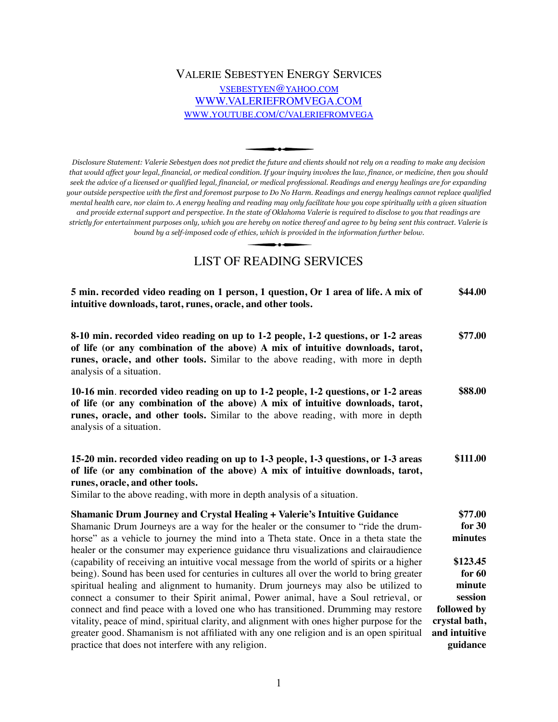## VALERIE SEBESTYEN ENERGY SERVICES [VSEBESTYEN@YAHOO.COM](mailto:vsebestyen@yahoo.com) [WWW.VALERIEFROMVEGA.COM](http://WWW.VALERIEFROMVEGA.COM) [WWW.YOUTUBE.COM/C/VALERIEFROMVEGA](http://www.youtube.com/c/valeriefromvega)

*Disclosure Statement: Valerie Sebestyen does not predict the future and clients should not rely on a reading to make any decision that would affect your legal, financial, or medical condition. If your inquiry involves the law, finance, or medicine, then you should seek the advice of a licensed or qualified legal, financial, or medical professional. Readings and energy healings are for expanding your outside perspective with the first and foremost purpose to Do No Harm. Readings and energy healings cannot replace qualified mental health care, nor claim to. A energy healing and reading may only facilitate how you cope spiritually with a given situation and provide external support and perspective. In the state of Oklahoma Valerie is required to disclose to you that readings are strictly for entertainment purposes only, which you are hereby on notice thereof and agree to by being sent this contract. Valerie is bound by a self-imposed code of ethics, which is provided in the information further below.* 

# LIST OF READING SERVICES

| 5 min. recorded video reading on 1 person, 1 question, Or 1 area of life. A mix of<br>intuitive downloads, tarot, runes, oracle, and other tools.                                                                                                                                                                                                                  | \$44.00                                                  |
|--------------------------------------------------------------------------------------------------------------------------------------------------------------------------------------------------------------------------------------------------------------------------------------------------------------------------------------------------------------------|----------------------------------------------------------|
| 8-10 min. recorded video reading on up to 1-2 people, 1-2 questions, or 1-2 areas<br>of life (or any combination of the above) A mix of intuitive downloads, tarot,<br>runes, oracle, and other tools. Similar to the above reading, with more in depth<br>analysis of a situation.                                                                                | \$77.00                                                  |
| 10-16 min. recorded video reading on up to 1-2 people, 1-2 questions, or 1-2 areas<br>of life (or any combination of the above) A mix of intuitive downloads, tarot,<br>runes, oracle, and other tools. Similar to the above reading, with more in depth<br>analysis of a situation.                                                                               | \$88.00                                                  |
| 15-20 min. recorded video reading on up to 1-3 people, 1-3 questions, or 1-3 areas<br>of life (or any combination of the above) A mix of intuitive downloads, tarot,<br>runes, oracle, and other tools.<br>Similar to the above reading, with more in depth analysis of a situation.                                                                               | \$111.00                                                 |
| Shamanic Drum Journey and Crystal Healing + Valerie's Intuitive Guidance<br>Shamanic Drum Journeys are a way for the healer or the consumer to "ride the drum-<br>horse" as a vehicle to journey the mind into a Theta state. Once in a theta state the<br>healer or the consumer may experience guidance thru visualizations and clairaudience                    | \$77.00<br>for $30$<br>minutes                           |
| (capability of receiving an intuitive vocal message from the world of spirits or a higher<br>being). Sound has been used for centuries in cultures all over the world to bring greater<br>spiritual healing and alignment to humanity. Drum journeys may also be utilized to                                                                                       | \$123.45<br>for $60$<br>minute                           |
| connect a consumer to their Spirit animal, Power animal, have a Soul retrieval, or<br>connect and find peace with a loved one who has transitioned. Drumming may restore<br>vitality, peace of mind, spiritual clarity, and alignment with ones higher purpose for the<br>greater good. Shamanism is not affiliated with any one religion and is an open spiritual | session<br>followed by<br>crystal bath,<br>and intuitive |
| practice that does not interfere with any religion.                                                                                                                                                                                                                                                                                                                | guidance                                                 |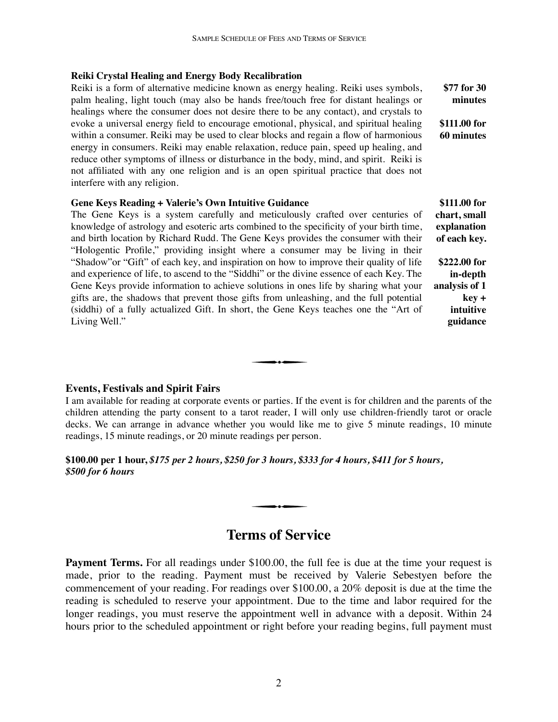#### **Reiki Crystal Healing and Energy Body Recalibration**

Reiki is a form of alternative medicine known as energy healing. Reiki uses symbols, palm healing, light touch (may also be hands free/touch free for distant healings or healings where the consumer does not desire there to be any contact), and crystals to evoke a universal energy field to encourage emotional, physical, and spiritual healing within a consumer. Reiki may be used to clear blocks and regain a flow of harmonious energy in consumers. Reiki may enable relaxation, reduce pain, speed up healing, and reduce other symptoms of illness or disturbance in the body, mind, and spirit. Reiki is not affiliated with any one religion and is an open spiritual practice that does not interfere with any religion. **\$77 for 30 minutes \$111.00 for 60 minutes**

#### **Gene Keys Reading + Valerie's Own Intuitive Guidance**

The Gene Keys is a system carefully and meticulously crafted over centuries of knowledge of astrology and esoteric arts combined to the specificity of your birth time, and birth location by Richard Rudd. The Gene Keys provides the consumer with their "Hologentic Profile," providing insight where a consumer may be living in their "Shadow"or "Gift" of each key, and inspiration on how to improve their quality of life and experience of life, to ascend to the "Siddhi" or the divine essence of each Key. The Gene Keys provide information to achieve solutions in ones life by sharing what your gifts are, the shadows that prevent those gifts from unleashing, and the full potential (siddhi) of a fully actualized Gift. In short, the Gene Keys teaches one the "Art of Living Well."

**\$111.00 for chart, small explanation of each key. \$222.00 for in-depth analysis of 1 key + intuitive** 

**guidance**

## **Events, Festivals and Spirit Fairs**

I am available for reading at corporate events or parties. If the event is for children and the parents of the children attending the party consent to a tarot reader, I will only use children-friendly tarot or oracle decks. We can arrange in advance whether you would like me to give 5 minute readings, 10 minute readings, 15 minute readings, or 20 minute readings per person.

## **\$100.00 per 1 hour,** *\$175 per 2 hours, \$250 for 3 hours, \$333 for 4 hours, \$411 for 5 hours, \$500 for 6 hours*

# **Terms of Service**

**Payment Terms.** For all readings under \$100.00, the full fee is due at the time your request is made, prior to the reading. Payment must be received by Valerie Sebestyen before the commencement of your reading. For readings over \$100.00, a 20% deposit is due at the time the reading is scheduled to reserve your appointment. Due to the time and labor required for the longer readings, you must reserve the appointment well in advance with a deposit. Within 24 hours prior to the scheduled appointment or right before your reading begins, full payment must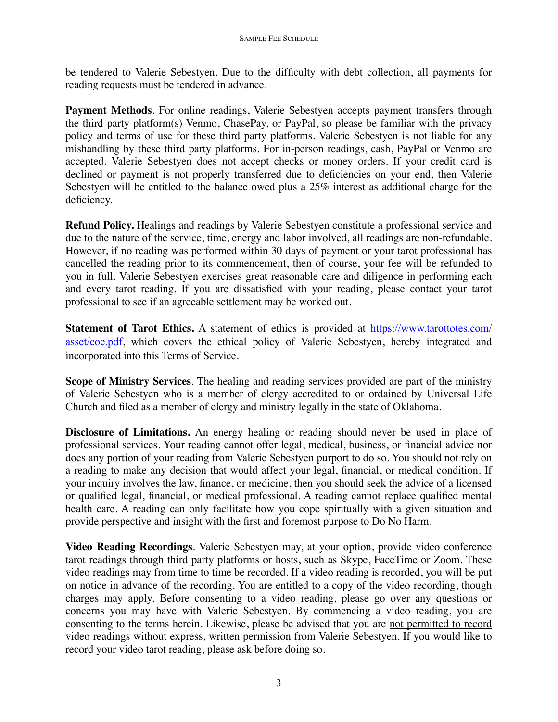be tendered to Valerie Sebestyen. Due to the difficulty with debt collection, all payments for reading requests must be tendered in advance.

**Payment Methods**. For online readings, Valerie Sebestyen accepts payment transfers through the third party platform(s) Venmo, ChasePay, or PayPal, so please be familiar with the privacy policy and terms of use for these third party platforms. Valerie Sebestyen is not liable for any mishandling by these third party platforms. For in-person readings, cash, PayPal or Venmo are accepted. Valerie Sebestyen does not accept checks or money orders. If your credit card is declined or payment is not properly transferred due to deficiencies on your end, then Valerie Sebestyen will be entitled to the balance owed plus a 25% interest as additional charge for the deficiency.

**Refund Policy.** Healings and readings by Valerie Sebestyen constitute a professional service and due to the nature of the service, time, energy and labor involved, all readings are non-refundable. However, if no reading was performed within 30 days of payment or your tarot professional has cancelled the reading prior to its commencement, then of course, your fee will be refunded to you in full. Valerie Sebestyen exercises great reasonable care and diligence in performing each and every tarot reading. If you are dissatisfied with your reading, please contact your tarot professional to see if an agreeable settlement may be worked out.

**Statement of Tarot Ethics.** A statement of ethics is provided at [https://www.tarottotes.com/](https://www.tarottotes.com/asset/coe.pdf) [asset/coe.pdf](https://www.tarottotes.com/asset/coe.pdf), which covers the ethical policy of Valerie Sebestyen, hereby integrated and incorporated into this Terms of Service.

**Scope of Ministry Services**. The healing and reading services provided are part of the ministry of Valerie Sebestyen who is a member of clergy accredited to or ordained by Universal Life Church and filed as a member of clergy and ministry legally in the state of Oklahoma.

**Disclosure of Limitations.** An energy healing or reading should never be used in place of professional services. Your reading cannot offer legal, medical, business, or financial advice nor does any portion of your reading from Valerie Sebestyen purport to do so. You should not rely on a reading to make any decision that would affect your legal, financial, or medical condition. If your inquiry involves the law, finance, or medicine, then you should seek the advice of a licensed or qualified legal, financial, or medical professional. A reading cannot replace qualified mental health care. A reading can only facilitate how you cope spiritually with a given situation and provide perspective and insight with the first and foremost purpose to Do No Harm.

**Video Reading Recordings**. Valerie Sebestyen may, at your option, provide video conference tarot readings through third party platforms or hosts, such as Skype, FaceTime or Zoom. These video readings may from time to time be recorded. If a video reading is recorded, you will be put on notice in advance of the recording. You are entitled to a copy of the video recording, though charges may apply. Before consenting to a video reading, please go over any questions or concerns you may have with Valerie Sebestyen. By commencing a video reading, you are consenting to the terms herein. Likewise, please be advised that you are not permitted to record video readings without express, written permission from Valerie Sebestyen. If you would like to record your video tarot reading, please ask before doing so.